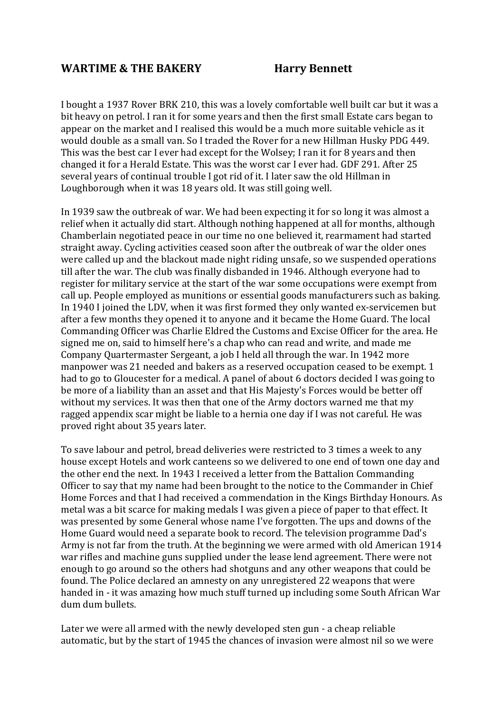## **WARTIME & THE BAKERY Harry Bennett**

I bought a 1937 Rover BRK 210, this was a lovely comfortable well built car but it was a bit heavy on petrol. I ran it for some years and then the first small Estate cars began to appear on the market and I realised this would be a much more suitable vehicle as it would double as a small van. So I traded the Rover for a new Hillman Husky PDG 449. This was the best car I ever had except for the Wolsey; I ran it for 8 years and then changed it for a Herald Estate. This was the worst car I ever had. GDF 291. After 25 several years of continual trouble I got rid of it. I later saw the old Hillman in Loughborough when it was 18 years old. It was still going well.

In 1939 saw the outbreak of war. We had been expecting it for so long it was almost a relief when it actually did start. Although nothing happened at all for months, although Chamberlain negotiated peace in our time no one believed it, rearmament had started straight away. Cycling activities ceased soon after the outbreak of war the older ones were called up and the blackout made night riding unsafe, so we suspended operations till after the war. The club was finally disbanded in 1946. Although everyone had to register for military service at the start of the war some occupations were exempt from call up. People employed as munitions or essential goods manufacturers such as baking. In 1940 I joined the LDV, when it was first formed they only wanted ex-servicemen but after a few months they opened it to anyone and it became the Home Guard. The local Commanding Officer was Charlie Eldred the Customs and Excise Officer for the area. He signed me on, said to himself here's a chap who can read and write, and made me Company Quartermaster Sergeant, a job I held all through the war. In 1942 more manpower was 21 needed and bakers as a reserved occupation ceased to be exempt. 1 had to go to Gloucester for a medical. A panel of about 6 doctors decided I was going to be more of a liability than an asset and that His Majesty's Forces would be better off without my services. It was then that one of the Army doctors warned me that my ragged appendix scar might be liable to a hernia one day if I was not careful. He was proved right about 35 years later.

To save labour and petrol, bread deliveries were restricted to 3 times a week to any house except Hotels and work canteens so we delivered to one end of town one day and the other end the next. In 1943 I received a letter from the Battalion Commanding Officer to say that my name had been brought to the notice to the Commander in Chief Home Forces and that I had received a commendation in the Kings Birthday Honours. As metal was a bit scarce for making medals I was given a piece of paper to that effect. It was presented by some General whose name I've forgotten. The ups and downs of the Home Guard would need a separate book to record. The television programme Dad's Army is not far from the truth. At the beginning we were armed with old American 1914 war rifles and machine guns supplied under the lease lend agreement. There were not enough to go around so the others had shotguns and any other weapons that could be found. The Police declared an amnesty on any unregistered 22 weapons that were handed in - it was amazing how much stuff turned up including some South African War dum dum bullets.

Later we were all armed with the newly developed sten gun - a cheap reliable automatic, but by the start of 1945 the chances of invasion were almost nil so we were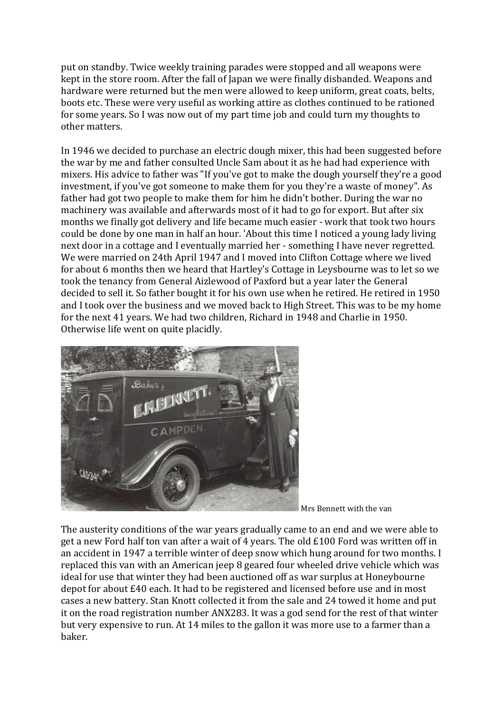put on standby. Twice weekly training parades were stopped and all weapons were kept in the store room. After the fall of Japan we were finally disbanded. Weapons and hardware were returned but the men were allowed to keep uniform, great coats, belts, boots etc. These were very useful as working attire as clothes continued to be rationed for some years. So I was now out of my part time job and could turn my thoughts to other matters.

In 1946 we decided to purchase an electric dough mixer, this had been suggested before the war by me and father consulted Uncle Sam about it as he had had experience with mixers. His advice to father was "If you've got to make the dough yourself they're a good investment, if you've got someone to make them for you they're a waste of money". As father had got two people to make them for him he didn't bother. During the war no machinery was available and afterwards most of it had to go for export. But after six months we finally got delivery and life became much easier - work that took two hours could be done by one man in half an hour. 'About this time I noticed a young lady living next door in a cottage and I eventually married her - something I have never regretted. We were married on 24th April 1947 and I moved into Clifton Cottage where we lived for about 6 months then we heard that Hartley's Cottage in Leysbourne was to let so we took the tenancy from General Aizlewood of Paxford but a year later the General decided to sell it. So father bought it for his own use when he retired. He retired in 1950 and I took over the business and we moved back to High Street. This was to be my home for the next 41 years. We had two children, Richard in 1948 and Charlie in 1950. Otherwise life went on quite placidly.



Mrs Bennett with the van

The austerity conditions of the war years gradually came to an end and we were able to get a new Ford half ton van after a wait of 4 years. The old £100 Ford was written off in an accident in 1947 a terrible winter of deep snow which hung around for two months. I replaced this van with an American jeep 8 geared four wheeled drive vehicle which was ideal for use that winter they had been auctioned off as war surplus at Honeybourne depot for about £40 each. It had to be registered and licensed before use and in most cases a new battery. Stan Knott collected it from the sale and 24 towed it home and put it on the road registration number ANX283. It was a god send for the rest of that winter but very expensive to run. At 14 miles to the gallon it was more use to a farmer than a baker.